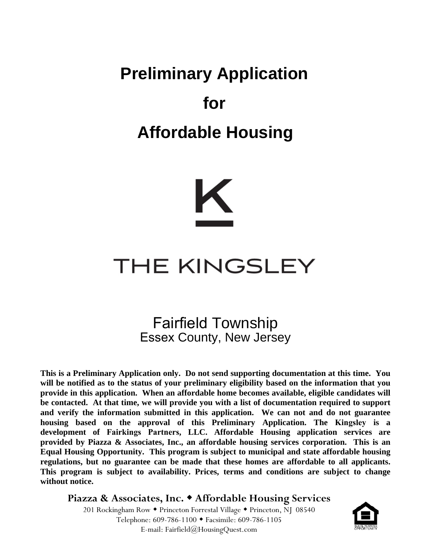# **Preliminary Application for Affordable Housing**



## **THE KINGSLEY**

### Fairfield Township Essex County, New Jersey

**This is a Preliminary Application only. Do not send supporting documentation at this time. You will be notified as to the status of your preliminary eligibility based on the information that you provide in this application. When an affordable home becomes available, eligible candidates will be contacted. At that time, we will provide you with a list of documentation required to support and verify the information submitted in this application. We can not and do not guarantee housing based on the approval of this Preliminary Application. The Kingsley is a development of Fairkings Partners, LLC. Affordable Housing application services are provided by Piazza & Associates, Inc., an affordable housing services corporation. This is an Equal Housing Opportunity. This program is subject to municipal and state affordable housing regulations, but no guarantee can be made that these homes are affordable to all applicants. This program is subject to availability. Prices, terms and conditions are subject to change without notice.**

**Piazza & Associates, Inc. Affordable Housing Services** 201 Rockingham Row • Princeton Forrestal Village • Princeton, NJ 08540 Telephone: 609-786-1100 Facsimile: 609-786-1105 E-mail: Fairfield@HousingQuest.com

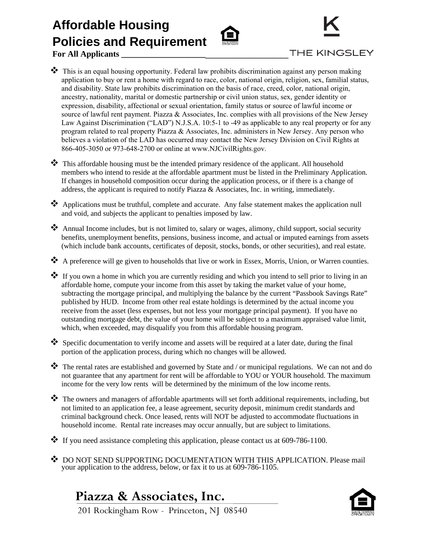## **Affordable Housing Policies and Requirement**





 **For All Applicants \_\_\_\_\_\_\_\_\_\_\_\_\_\_\_\_\_\_\_\_\_\_\_\_\_\_\_\_\_\_\_\_\_\_\_\_\_\_\_\_\_\_\_\_\_\_\_\_\_\_\_\_\_\_\_\_\_\_\_**

- $\bullet\bullet$  This is an equal housing opportunity. Federal law prohibits discrimination against any person making application to buy or rent a home with regard to race, color, national origin, religion, sex, familial status, and disability. State law prohibits discrimination on the basis of race, creed, color, national origin, ancestry, nationality, marital or domestic partnership or civil union status, sex, gender identity or expression, disability, affectional or sexual orientation, family status or source of lawful income or source of lawful rent payment. Piazza & Associates, Inc. complies with all provisions of the New Jersey Law Against Discrimination ("LAD") N.J.S.A. 10:5-1 to -49 as applicable to any real property or for any program related to real property Piazza & Associates, Inc. administers in New Jersey. Any person who believes a violation of the LAD has occurred may contact the New Jersey Division on Civil Rights at 866-405-3050 or 973-648-2700 or online at www.NJCivilRights.gov.
- This affordable housing must be the intended primary residence of the applicant. All household members who intend to reside at the affordable apartment must be listed in the Preliminary Application. If changes in household composition occur during the application process, or if there is a change of address, the applicant is required to notify Piazza  $\&$  Associates, Inc. in writing, immediately.
- \* Applications must be truthful, complete and accurate. Any false statement makes the application null and void, and subjects the applicant to penalties imposed by law.
- Annual Income includes, but is not limited to, salary or wages, alimony, child support, social security benefits, unemployment benefits, pensions, business income, and actual or imputed earnings from assets (which include bank accounts, certificates of deposit, stocks, bonds, or other securities), and real estate.
- A preference will ge given to households that live or work in Essex, Morris, Union, or Warren counties.
- If you own a home in which you are currently residing and which you intend to sell prior to living in an affordable home, compute your income from this asset by taking the market value of your home, subtracting the mortgage principal, and multiplying the balance by the current "Passbook Savings Rate" published by HUD. Income from other real estate holdings is determined by the actual income you receive from the asset (less expenses, but not less your mortgage principal payment). If you have no outstanding mortgage debt, the value of your home will be subject to a maximum appraised value limit, which, when exceeded, may disqualify you from this affordable housing program.
- Specific documentation to verify income and assets will be required at a later date, during the final portion of the application process, during which no changes will be allowed.
- $\clubsuit$  The rental rates are established and governed by State and / or municipal regulations. We can not and do not guarantee that any apartment for rent will be affordable to YOU or YOUR household. The maximum income for the very low rents will be determined by the minimum of the low income rents.
- $\clubsuit$  The owners and managers of affordable apartments will set forth additional requirements, including, but not limited to an application fee, a lease agreement, security deposit, minimum credit standards and criminal background check. Once leased, rents will NOT be adjusted to accommodate fluctuations in household income. Rental rate increases may occur annually, but are subject to limitations.
- $\cdot \cdot$  If you need assistance completing this application, please contact us at 609-786-1100.
- ◆ DO NOT SEND SUPPORTING DOCUMENTATION WITH THIS APPLICATION. Please mail your application to the address, below, or fax it to us at 609-786-1105.

#### **Piazza & Associates, Inc.**



201 Rockingham Row - Princeton, NJ 08540